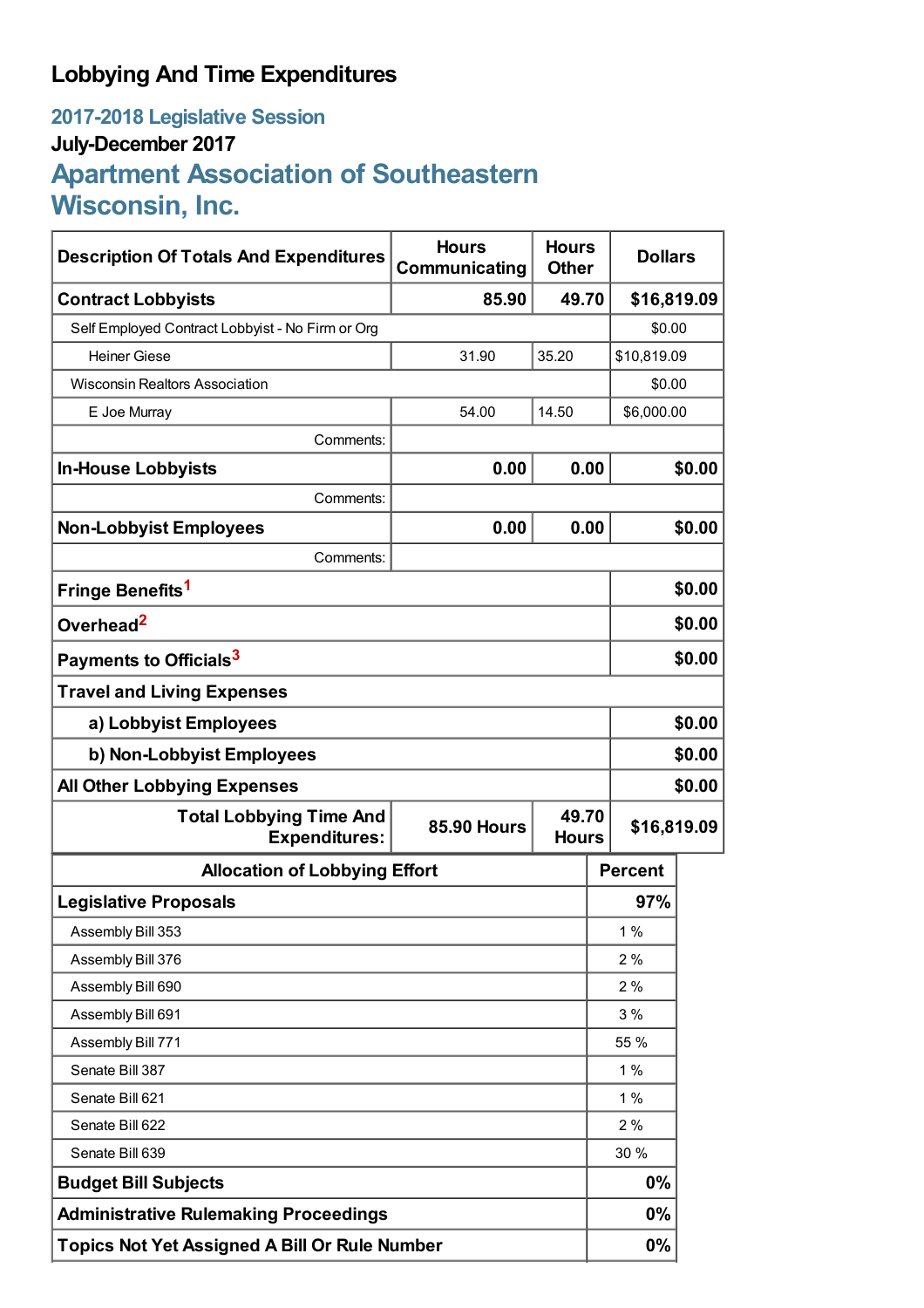# **Lobbying And Time Expenditures**

# **2017-2018 Legislative Session July-December 2017 Apartment Association of Southeastern Wisconsin, Inc.**

| <b>Description Of Totals And Expenditures</b>          | <b>Hours</b><br><b>Hours</b><br>Communicating<br><b>Other</b> |                       |                | <b>Dollars</b> |  |
|--------------------------------------------------------|---------------------------------------------------------------|-----------------------|----------------|----------------|--|
| <b>Contract Lobbyists</b>                              | 85.90                                                         | 49.70<br>\$16,819.09  |                |                |  |
| Self Employed Contract Lobbyist - No Firm or Org       |                                                               |                       |                | \$0.00         |  |
| <b>Heiner Giese</b>                                    | 31.90                                                         | 35.20                 | \$10,819.09    |                |  |
| <b>Wisconsin Realtors Association</b>                  |                                                               |                       | \$0.00         |                |  |
| E Joe Murray                                           | 54.00<br>14.50                                                |                       |                | \$6,000.00     |  |
| Comments:                                              |                                                               |                       |                |                |  |
| <b>In-House Lobbyists</b>                              | 0.00                                                          | 0.00                  |                | \$0.00         |  |
| Comments:                                              |                                                               |                       |                |                |  |
| <b>Non-Lobbyist Employees</b>                          | 0.00                                                          | 0.00                  |                | \$0.00         |  |
| Comments:                                              |                                                               |                       |                |                |  |
| Fringe Benefits <sup>1</sup>                           |                                                               |                       |                | \$0.00         |  |
| Overhead <sup>2</sup>                                  |                                                               |                       |                | \$0.00         |  |
| Payments to Officials <sup>3</sup>                     |                                                               |                       |                | \$0.00         |  |
| <b>Travel and Living Expenses</b>                      |                                                               |                       |                |                |  |
| a) Lobbyist Employees                                  |                                                               |                       |                | \$0.00         |  |
| b) Non-Lobbyist Employees                              |                                                               |                       |                | \$0.00         |  |
| <b>All Other Lobbying Expenses</b>                     |                                                               |                       |                | \$0.00         |  |
| <b>Total Lobbying Time And</b><br><b>Expenditures:</b> | <b>85.90 Hours</b>                                            | 49.70<br><b>Hours</b> | \$16,819.09    |                |  |
| <b>Allocation of Lobbying Effort</b>                   |                                                               |                       | <b>Percent</b> |                |  |
| <b>Legislative Proposals</b>                           |                                                               |                       | 97%            |                |  |
| Assembly Bill 353                                      |                                                               |                       | $1\%$          |                |  |
| Assembly Bill 376                                      |                                                               |                       | 2%             |                |  |
| Assembly Bill 690                                      |                                                               |                       | 2%             |                |  |
| Assembly Bill 691                                      |                                                               |                       | 3%             |                |  |
| Assembly Bill 771                                      |                                                               |                       | 55 %           |                |  |
| Senate Bill 387                                        |                                                               |                       | 1%             |                |  |
| Senate Bill 621                                        |                                                               |                       | 1%             |                |  |
| Senate Bill 622                                        |                                                               |                       | 2%             |                |  |
| Senate Bill 639                                        |                                                               |                       | 30 %           |                |  |
| <b>Budget Bill Subjects</b>                            |                                                               |                       | 0%             |                |  |
| <b>Administrative Rulemaking Proceedings</b>           |                                                               |                       | 0%             |                |  |
| Topics Not Yet Assigned A Bill Or Rule Number          |                                                               |                       | 0%             |                |  |